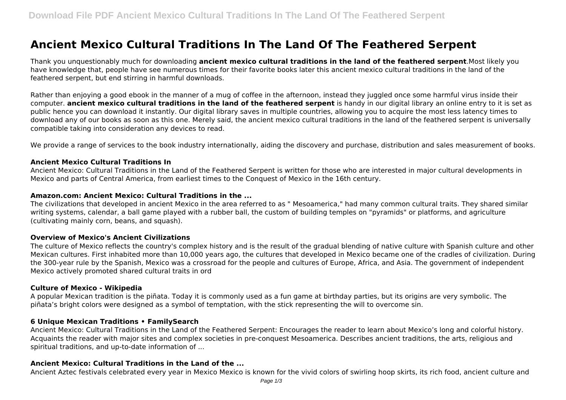# **Ancient Mexico Cultural Traditions In The Land Of The Feathered Serpent**

Thank you unquestionably much for downloading **ancient mexico cultural traditions in the land of the feathered serpent**.Most likely you have knowledge that, people have see numerous times for their favorite books later this ancient mexico cultural traditions in the land of the feathered serpent, but end stirring in harmful downloads.

Rather than enjoying a good ebook in the manner of a mug of coffee in the afternoon, instead they juggled once some harmful virus inside their computer. **ancient mexico cultural traditions in the land of the feathered serpent** is handy in our digital library an online entry to it is set as public hence you can download it instantly. Our digital library saves in multiple countries, allowing you to acquire the most less latency times to download any of our books as soon as this one. Merely said, the ancient mexico cultural traditions in the land of the feathered serpent is universally compatible taking into consideration any devices to read.

We provide a range of services to the book industry internationally, aiding the discovery and purchase, distribution and sales measurement of books.

### **Ancient Mexico Cultural Traditions In**

Ancient Mexico: Cultural Traditions in the Land of the Feathered Serpent is written for those who are interested in major cultural developments in Mexico and parts of Central America, from earliest times to the Conquest of Mexico in the 16th century.

### **Amazon.com: Ancient Mexico: Cultural Traditions in the ...**

The civilizations that developed in ancient Mexico in the area referred to as " Mesoamerica," had many common cultural traits. They shared similar writing systems, calendar, a ball game played with a rubber ball, the custom of building temples on "pyramids" or platforms, and agriculture (cultivating mainly corn, beans, and squash).

#### **Overview of Mexico's Ancient Civilizations**

The culture of Mexico reflects the country's complex history and is the result of the gradual blending of native culture with Spanish culture and other Mexican cultures. First inhabited more than 10,000 years ago, the cultures that developed in Mexico became one of the cradles of civilization. During the 300-year rule by the Spanish, Mexico was a crossroad for the people and cultures of Europe, Africa, and Asia. The government of independent Mexico actively promoted shared cultural traits in ord

#### **Culture of Mexico - Wikipedia**

A popular Mexican tradition is the piñata. Today it is commonly used as a fun game at birthday parties, but its origins are very symbolic. The piñata's bright colors were designed as a symbol of temptation, with the stick representing the will to overcome sin.

# **6 Unique Mexican Traditions • FamilySearch**

Ancient Mexico: Cultural Traditions in the Land of the Feathered Serpent: Encourages the reader to learn about Mexico's long and colorful history. Acquaints the reader with major sites and complex societies in pre-conquest Mesoamerica. Describes ancient traditions, the arts, religious and spiritual traditions, and up-to-date information of ...

# **Ancient Mexico: Cultural Traditions in the Land of the ...**

Ancient Aztec festivals celebrated every year in Mexico Mexico is known for the vivid colors of swirling hoop skirts, its rich food, ancient culture and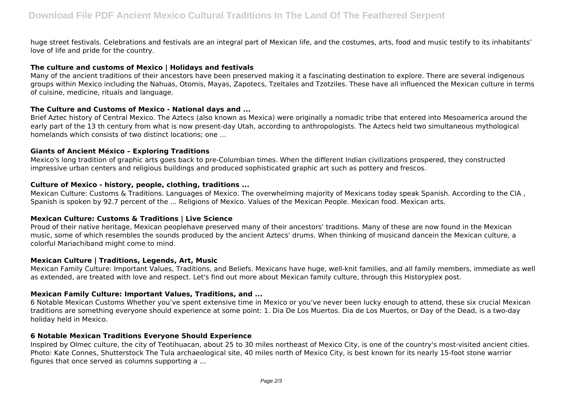huge street festivals. Celebrations and festivals are an integral part of Mexican life, and the costumes, arts, food and music testify to its inhabitants' love of life and pride for the country.

# **The culture and customs of Mexico | Holidays and festivals**

Many of the ancient traditions of their ancestors have been preserved making it a fascinating destination to explore. There are several indigenous groups within Mexico including the Nahuas, Otomis, Mayas, Zapotecs, Tzeltales and Tzotziles. These have all influenced the Mexican culture in terms of cuisine, medicine, rituals and language.

# **The Culture and Customs of Mexico - National days and ...**

Brief Aztec history of Central Mexico. The Aztecs (also known as Mexica) were originally a nomadic tribe that entered into Mesoamerica around the early part of the 13 th century from what is now present-day Utah, according to anthropologists. The Aztecs held two simultaneous mythological homelands which consists of two distinct locations; one ...

# **Giants of Ancient México – Exploring Traditions**

Mexico's long tradition of graphic arts goes back to pre-Columbian times. When the different Indian civilizations prospered, they constructed impressive urban centers and religious buildings and produced sophisticated graphic art such as pottery and frescos.

# **Culture of Mexico - history, people, clothing, traditions ...**

Mexican Culture: Customs & Traditions. Languages of Mexico. The overwhelming majority of Mexicans today speak Spanish. According to the CIA , Spanish is spoken by 92.7 percent of the ... Religions of Mexico. Values of the Mexican People. Mexican food. Mexican arts.

# **Mexican Culture: Customs & Traditions | Live Science**

Proud of their native heritage, Mexican peoplehave preserved many of their ancestors' traditions. Many of these are now found in the Mexican music, some of which resembles the sounds produced by the ancient Aztecs' drums. When thinking of musicand dancein the Mexican culture, a colorful Mariachiband might come to mind.

# **Mexican Culture | Traditions, Legends, Art, Music**

Mexican Family Culture: Important Values, Traditions, and Beliefs. Mexicans have huge, well-knit families, and all family members, immediate as well as extended, are treated with love and respect. Let's find out more about Mexican family culture, through this Historyplex post.

# **Mexican Family Culture: Important Values, Traditions, and ...**

6 Notable Mexican Customs Whether you've spent extensive time in Mexico or you've never been lucky enough to attend, these six crucial Mexican traditions are something everyone should experience at some point: 1. Dia De Los Muertos. Dia de Los Muertos, or Day of the Dead, is a two-day holiday held in Mexico.

# **6 Notable Mexican Traditions Everyone Should Experience**

Inspired by Olmec culture, the city of Teotihuacan, about 25 to 30 miles northeast of Mexico City, is one of the country's most-visited ancient cities. Photo: Kate Connes, Shutterstock The Tula archaeological site, 40 miles north of Mexico City, is best known for its nearly 15-foot stone warrior figures that once served as columns supporting a ...